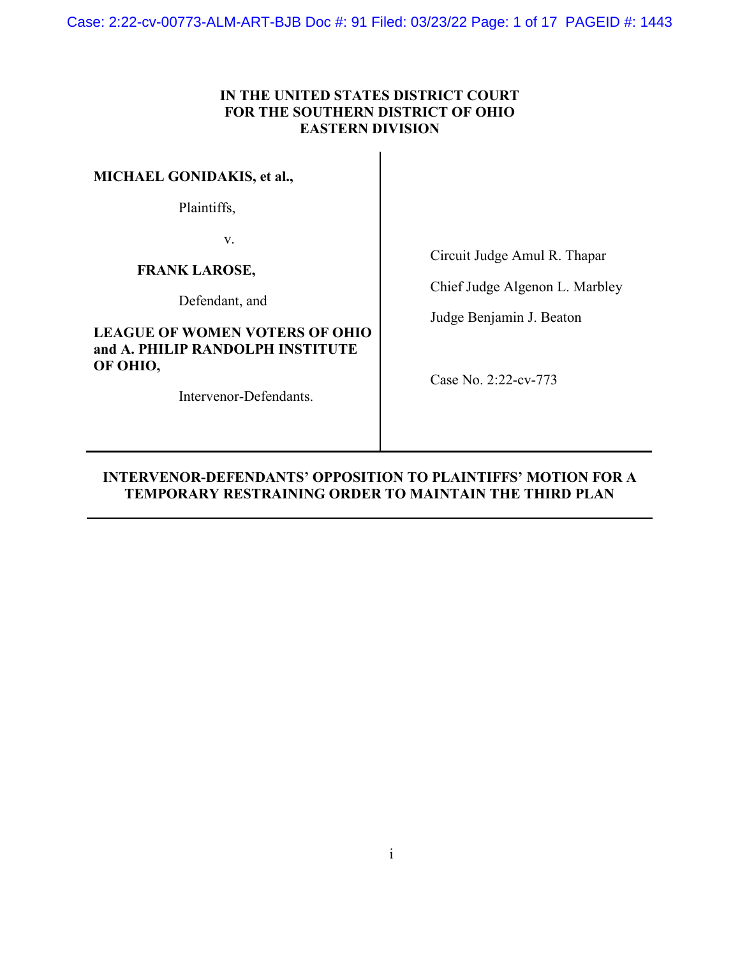Case: 2:22-cv-00773-ALM-ART-BJB Doc #: 91 Filed: 03/23/22 Page: 1 of 17 PAGEID #: 1443

## **IN THE UNITED STATES DISTRICT COURT FOR THE SOUTHERN DISTRICT OF OHIO EASTERN DIVISION**

**MICHAEL GONIDAKIS, et al.,** 

Plaintiffs,

v.

**FRANK LAROSE,** 

Defendant, and

## **LEAGUE OF WOMEN VOTERS OF OHIO and A. PHILIP RANDOLPH INSTITUTE OF OHIO,**

Intervenor-Defendants.

Circuit Judge Amul R. Thapar

Chief Judge Algenon L. Marbley

Judge Benjamin J. Beaton

Case No. 2:22-cv-773

## **INTERVENOR-DEFENDANTS' OPPOSITION TO PLAINTIFFS' MOTION FOR A TEMPORARY RESTRAINING ORDER TO MAINTAIN THE THIRD PLAN**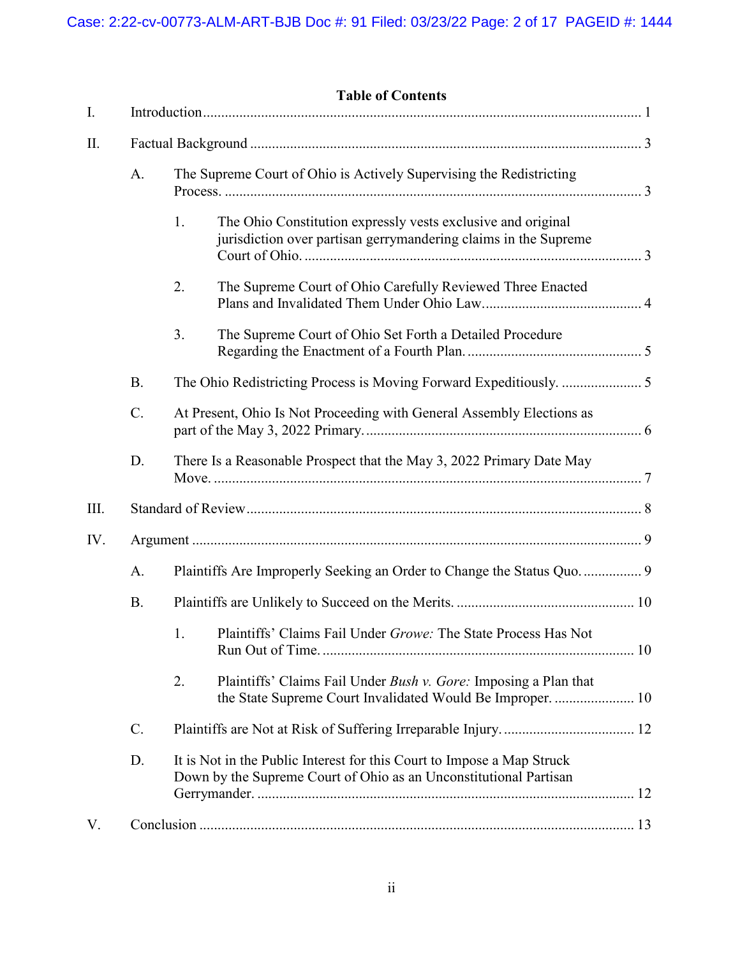|      | <b>Table of Contents</b> |                                                                                                                                             |  |
|------|--------------------------|---------------------------------------------------------------------------------------------------------------------------------------------|--|
| Ι.   |                          |                                                                                                                                             |  |
| II.  |                          |                                                                                                                                             |  |
|      | A.                       | The Supreme Court of Ohio is Actively Supervising the Redistricting                                                                         |  |
|      |                          | The Ohio Constitution expressly vests exclusive and original<br>1.<br>jurisdiction over partisan gerrymandering claims in the Supreme       |  |
|      |                          | 2.<br>The Supreme Court of Ohio Carefully Reviewed Three Enacted                                                                            |  |
|      |                          | 3.<br>The Supreme Court of Ohio Set Forth a Detailed Procedure                                                                              |  |
|      | <b>B.</b>                |                                                                                                                                             |  |
|      | C.                       | At Present, Ohio Is Not Proceeding with General Assembly Elections as                                                                       |  |
|      | D.                       | There Is a Reasonable Prospect that the May 3, 2022 Primary Date May                                                                        |  |
| III. |                          |                                                                                                                                             |  |
| IV.  |                          |                                                                                                                                             |  |
|      | A.                       |                                                                                                                                             |  |
|      | <b>B.</b>                |                                                                                                                                             |  |
|      |                          | 1. Plaintiffs' Claims Fail Under Growe: The State Process Has Not                                                                           |  |
|      |                          | 2.<br>Plaintiffs' Claims Fail Under Bush v. Gore: Imposing a Plan that                                                                      |  |
|      | $C$ .                    |                                                                                                                                             |  |
|      | D.                       | It is Not in the Public Interest for this Court to Impose a Map Struck<br>Down by the Supreme Court of Ohio as an Unconstitutional Partisan |  |
| V.   |                          |                                                                                                                                             |  |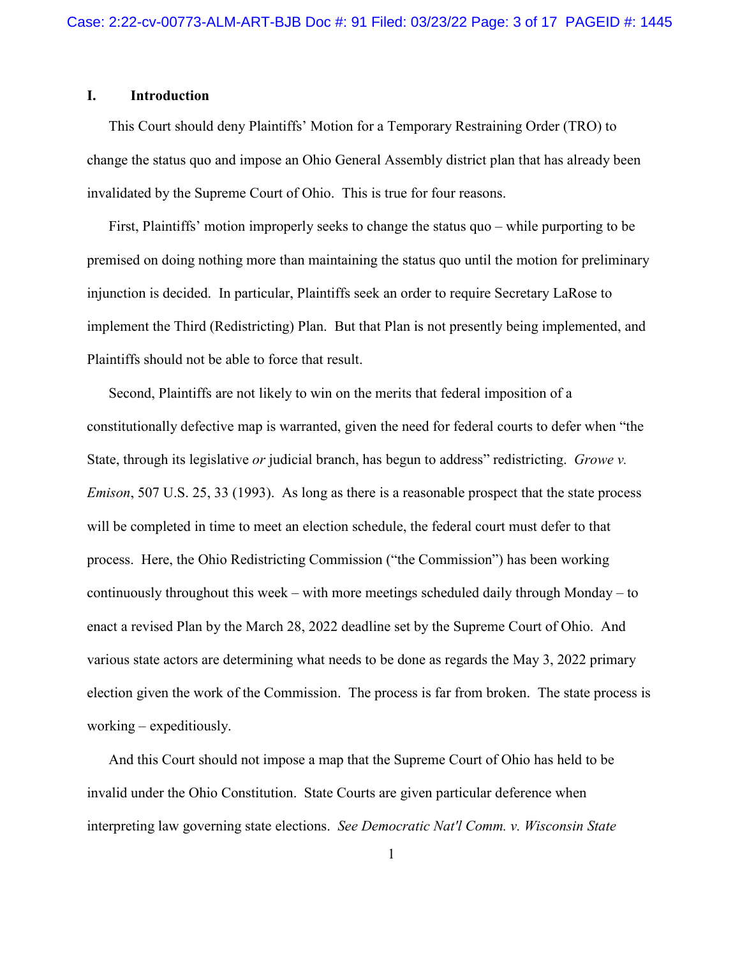### <span id="page-2-0"></span>**I. Introduction**

This Court should deny Plaintiffs' Motion for a Temporary Restraining Order (TRO) to change the status quo and impose an Ohio General Assembly district plan that has already been invalidated by the Supreme Court of Ohio. This is true for four reasons.

First, Plaintiffs' motion improperly seeks to change the status quo – while purporting to be premised on doing nothing more than maintaining the status quo until the motion for preliminary injunction is decided. In particular, Plaintiffs seek an order to require Secretary LaRose to implement the Third (Redistricting) Plan. But that Plan is not presently being implemented, and Plaintiffs should not be able to force that result.

Second, Plaintiffs are not likely to win on the merits that federal imposition of a constitutionally defective map is warranted, given the need for federal courts to defer when "the State, through its legislative *or* judicial branch, has begun to address" redistricting. *Growe v. Emison*, 507 U.S. 25, 33 (1993). As long as there is a reasonable prospect that the state process will be completed in time to meet an election schedule, the federal court must defer to that process. Here, the Ohio Redistricting Commission ("the Commission") has been working continuously throughout this week – with more meetings scheduled daily through Monday – to enact a revised Plan by the March 28, 2022 deadline set by the Supreme Court of Ohio. And various state actors are determining what needs to be done as regards the May 3, 2022 primary election given the work of the Commission. The process is far from broken. The state process is working – expeditiously.

And this Court should not impose a map that the Supreme Court of Ohio has held to be invalid under the Ohio Constitution. State Courts are given particular deference when interpreting law governing state elections. *See Democratic Nat'l Comm. v. Wisconsin State*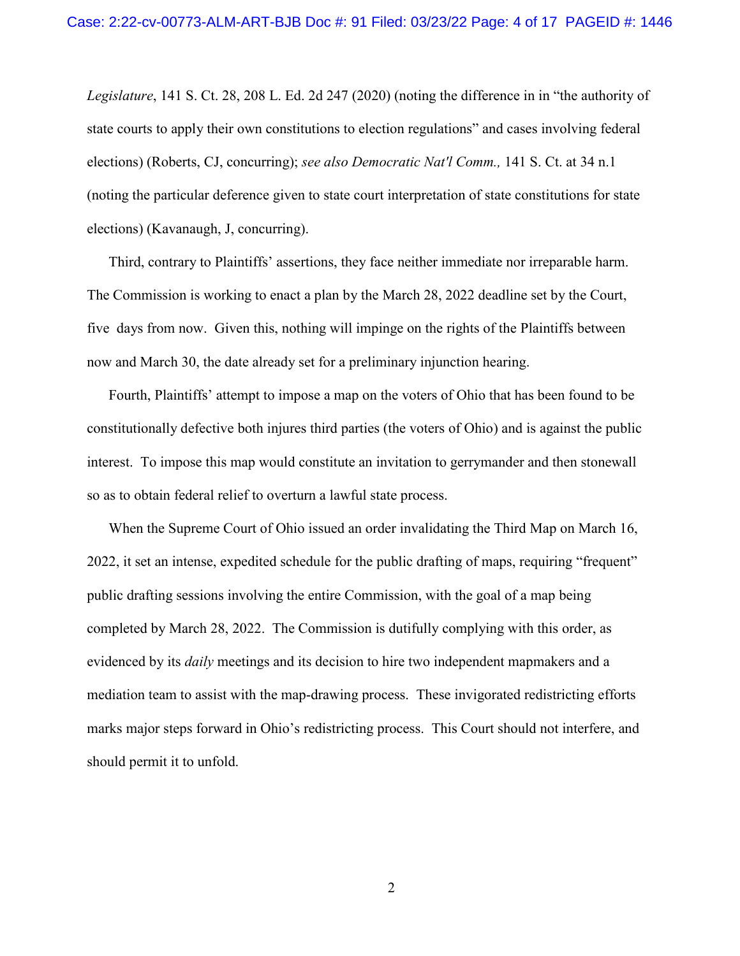*Legislature*, 141 S. Ct. 28, 208 L. Ed. 2d 247 (2020) (noting the difference in in "the authority of state courts to apply their own constitutions to election regulations" and cases involving federal elections) (Roberts, CJ, concurring); *see also Democratic Nat'l Comm.,* 141 S. Ct. at 34 n.1 (noting the particular deference given to state court interpretation of state constitutions for state elections) (Kavanaugh, J, concurring).

Third, contrary to Plaintiffs' assertions, they face neither immediate nor irreparable harm. The Commission is working to enact a plan by the March 28, 2022 deadline set by the Court, five days from now. Given this, nothing will impinge on the rights of the Plaintiffs between now and March 30, the date already set for a preliminary injunction hearing.

Fourth, Plaintiffs' attempt to impose a map on the voters of Ohio that has been found to be constitutionally defective both injures third parties (the voters of Ohio) and is against the public interest. To impose this map would constitute an invitation to gerrymander and then stonewall so as to obtain federal relief to overturn a lawful state process.

When the Supreme Court of Ohio issued an order invalidating the Third Map on March 16, 2022, it set an intense, expedited schedule for the public drafting of maps, requiring "frequent" public drafting sessions involving the entire Commission, with the goal of a map being completed by March 28, 2022. The Commission is dutifully complying with this order, as evidenced by its *daily* meetings and its decision to hire two independent mapmakers and a mediation team to assist with the map-drawing process. These invigorated redistricting efforts marks major steps forward in Ohio's redistricting process. This Court should not interfere, and should permit it to unfold.

2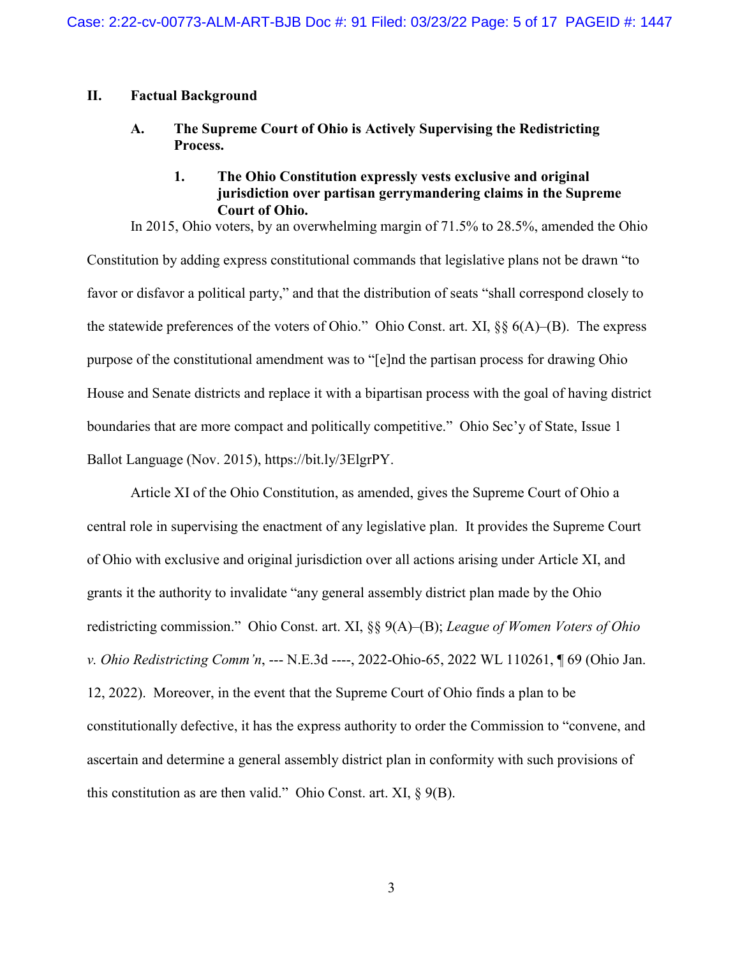### <span id="page-4-1"></span><span id="page-4-0"></span>**II. Factual Background**

**A. The Supreme Court of Ohio is Actively Supervising the Redistricting Process.**

## **1. The Ohio Constitution expressly vests exclusive and original jurisdiction over partisan gerrymandering claims in the Supreme Court of Ohio.**

<span id="page-4-2"></span>In 2015, Ohio voters, by an overwhelming margin of 71.5% to 28.5%, amended the Ohio Constitution by adding express constitutional commands that legislative plans not be drawn "to favor or disfavor a political party," and that the distribution of seats "shall correspond closely to the statewide preferences of the voters of Ohio." Ohio Const. art. XI, §§ 6(A)–(B). The express purpose of the constitutional amendment was to "[e]nd the partisan process for drawing Ohio House and Senate districts and replace it with a bipartisan process with the goal of having district boundaries that are more compact and politically competitive." Ohio Sec'y of State, Issue 1 Ballot Language (Nov. 2015), https://bit.ly/3ElgrPY.

Article XI of the Ohio Constitution, as amended, gives the Supreme Court of Ohio a central role in supervising the enactment of any legislative plan. It provides the Supreme Court of Ohio with exclusive and original jurisdiction over all actions arising under Article XI, and grants it the authority to invalidate "any general assembly district plan made by the Ohio redistricting commission." Ohio Const. art. XI, §§ 9(A)–(B); *League of Women Voters of Ohio v. Ohio Redistricting Comm'n*, --- N.E.3d ----, 2022-Ohio-65, 2022 WL 110261, ¶ 69 (Ohio Jan. 12, 2022). Moreover, in the event that the Supreme Court of Ohio finds a plan to be constitutionally defective, it has the express authority to order the Commission to "convene, and ascertain and determine a general assembly district plan in conformity with such provisions of this constitution as are then valid." Ohio Const. art. XI, § 9(B).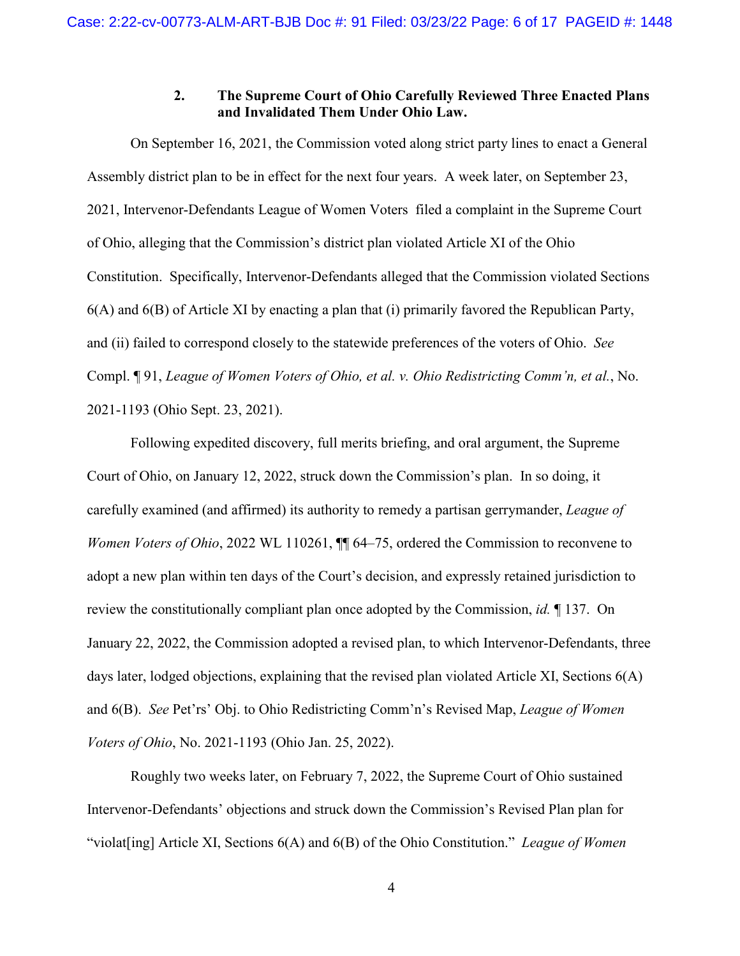## **2. The Supreme Court of Ohio Carefully Reviewed Three Enacted Plans and Invalidated Them Under Ohio Law.**

<span id="page-5-0"></span>On September 16, 2021, the Commission voted along strict party lines to enact a General Assembly district plan to be in effect for the next four years. A week later, on September 23, 2021, Intervenor-Defendants League of Women Voters filed a complaint in the Supreme Court of Ohio, alleging that the Commission's district plan violated Article XI of the Ohio Constitution. Specifically, Intervenor-Defendants alleged that the Commission violated Sections 6(A) and 6(B) of Article XI by enacting a plan that (i) primarily favored the Republican Party, and (ii) failed to correspond closely to the statewide preferences of the voters of Ohio. *See* Compl. ¶ 91, *League of Women Voters of Ohio, et al. v. Ohio Redistricting Comm'n, et al.*, No. 2021-1193 (Ohio Sept. 23, 2021).

Following expedited discovery, full merits briefing, and oral argument, the Supreme Court of Ohio, on January 12, 2022, struck down the Commission's plan. In so doing, it carefully examined (and affirmed) its authority to remedy a partisan gerrymander, *League of Women Voters of Ohio*, 2022 WL 110261,  $\P$  64–75, ordered the Commission to reconvene to adopt a new plan within ten days of the Court's decision, and expressly retained jurisdiction to review the constitutionally compliant plan once adopted by the Commission, *id.* ¶ 137. On January 22, 2022, the Commission adopted a revised plan, to which Intervenor-Defendants, three days later, lodged objections, explaining that the revised plan violated Article XI, Sections 6(A) and 6(B). *See* Pet'rs' Obj. to Ohio Redistricting Comm'n's Revised Map, *League of Women Voters of Ohio*, No. 2021-1193 (Ohio Jan. 25, 2022).

Roughly two weeks later, on February 7, 2022, the Supreme Court of Ohio sustained Intervenor-Defendants' objections and struck down the Commission's Revised Plan plan for "violat[ing] Article XI, Sections 6(A) and 6(B) of the Ohio Constitution." *League of Women*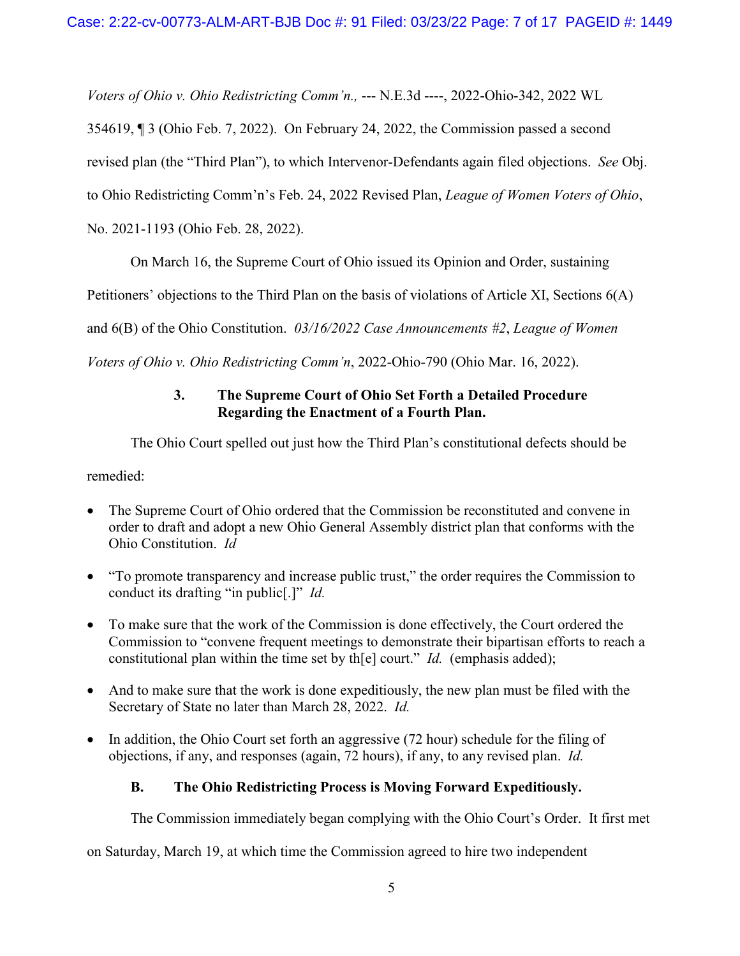*Voters of Ohio v. Ohio Redistricting Comm'n.,* --- N.E.3d ----, 2022-Ohio-342, 2022 WL

354619, ¶ 3 (Ohio Feb. 7, 2022). On February 24, 2022, the Commission passed a second

revised plan (the "Third Plan"), to which Intervenor-Defendants again filed objections. *See* Obj.

to Ohio Redistricting Comm'n's Feb. 24, 2022 Revised Plan, *League of Women Voters of Ohio*,

No. 2021-1193 (Ohio Feb. 28, 2022).

On March 16, the Supreme Court of Ohio issued its Opinion and Order, sustaining

Petitioners' objections to the Third Plan on the basis of violations of Article XI, Sections 6(A)

and 6(B) of the Ohio Constitution. *03/16/2022 Case Announcements #2*, *League of Women* 

<span id="page-6-0"></span>*Voters of Ohio v. Ohio Redistricting Comm'n*, 2022-Ohio-790 (Ohio Mar. 16, 2022).

## **3. The Supreme Court of Ohio Set Forth a Detailed Procedure Regarding the Enactment of a Fourth Plan.**

The Ohio Court spelled out just how the Third Plan's constitutional defects should be

remedied:

- The Supreme Court of Ohio ordered that the Commission be reconstituted and convene in order to draft and adopt a new Ohio General Assembly district plan that conforms with the Ohio Constitution. *Id*
- "To promote transparency and increase public trust," the order requires the Commission to conduct its drafting "in public[.]" *Id.*
- To make sure that the work of the Commission is done effectively, the Court ordered the Commission to "convene frequent meetings to demonstrate their bipartisan efforts to reach a constitutional plan within the time set by th[e] court." *Id.* (emphasis added);
- And to make sure that the work is done expeditiously, the new plan must be filed with the Secretary of State no later than March 28, 2022. *Id.*
- In addition, the Ohio Court set forth an aggressive (72 hour) schedule for the filing of objections, if any, and responses (again, 72 hours), if any, to any revised plan. *Id.*

# <span id="page-6-1"></span>**B. The Ohio Redistricting Process is Moving Forward Expeditiously.**

The Commission immediately began complying with the Ohio Court's Order. It first met

on Saturday, March 19, at which time the Commission agreed to hire two independent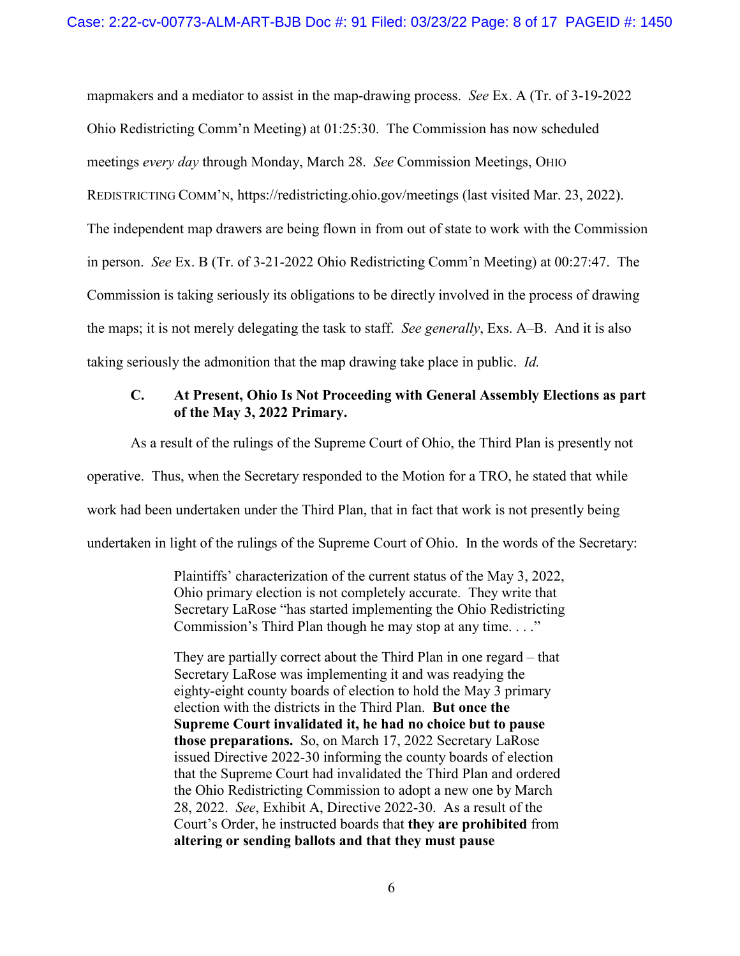mapmakers and a mediator to assist in the map-drawing process. *See* Ex. A (Tr. of 3-19-2022 Ohio Redistricting Comm'n Meeting) at 01:25:30. The Commission has now scheduled meetings *every day* through Monday, March 28. *See* Commission Meetings, OHIO REDISTRICTING COMM'N, https://redistricting.ohio.gov/meetings (last visited Mar. 23, 2022). The independent map drawers are being flown in from out of state to work with the Commission in person. *See* Ex. B (Tr. of 3-21-2022 Ohio Redistricting Comm'n Meeting) at 00:27:47. The Commission is taking seriously its obligations to be directly involved in the process of drawing the maps; it is not merely delegating the task to staff. *See generally*, Exs. A–B. And it is also taking seriously the admonition that the map drawing take place in public. *Id.*

## <span id="page-7-0"></span>**C. At Present, Ohio Is Not Proceeding with General Assembly Elections as part of the May 3, 2022 Primary.**

As a result of the rulings of the Supreme Court of Ohio, the Third Plan is presently not operative. Thus, when the Secretary responded to the Motion for a TRO, he stated that while work had been undertaken under the Third Plan, that in fact that work is not presently being undertaken in light of the rulings of the Supreme Court of Ohio. In the words of the Secretary:

> Plaintiffs' characterization of the current status of the May 3, 2022, Ohio primary election is not completely accurate. They write that Secretary LaRose "has started implementing the Ohio Redistricting Commission's Third Plan though he may stop at any time. . . ."

> They are partially correct about the Third Plan in one regard – that Secretary LaRose was implementing it and was readying the eighty-eight county boards of election to hold the May 3 primary election with the districts in the Third Plan. **But once the Supreme Court invalidated it, he had no choice but to pause those preparations.** So, on March 17, 2022 Secretary LaRose issued Directive 2022-30 informing the county boards of election that the Supreme Court had invalidated the Third Plan and ordered the Ohio Redistricting Commission to adopt a new one by March 28, 2022. *See*, Exhibit A, Directive 2022-30. As a result of the Court's Order, he instructed boards that **they are prohibited** from **altering or sending ballots and that they must pause**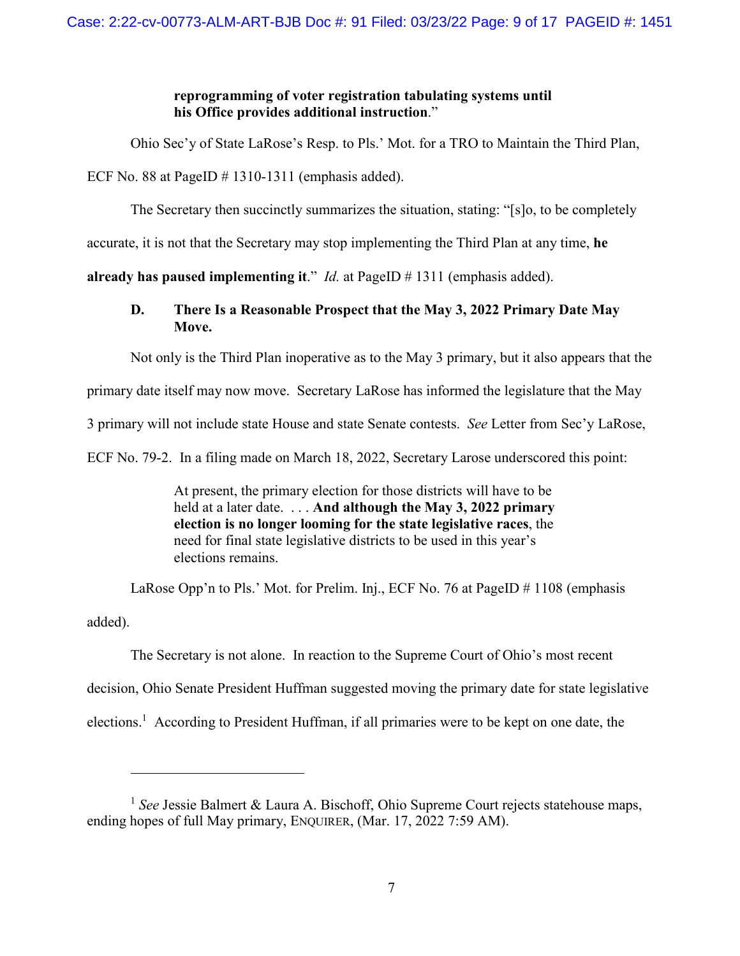## **reprogramming of voter registration tabulating systems until his Office provides additional instruction**."

Ohio Sec'y of State LaRose's Resp. to Pls.' Mot. for a TRO to Maintain the Third Plan,

ECF No. 88 at PageID  $# 1310-1311$  (emphasis added).

 $\overline{a}$ 

The Secretary then succinctly summarizes the situation, stating: "[s]o, to be completely

accurate, it is not that the Secretary may stop implementing the Third Plan at any time, **he** 

<span id="page-8-0"></span>**already has paused implementing it**." *Id.* at PageID # 1311 (emphasis added).

## **D. There Is a Reasonable Prospect that the May 3, 2022 Primary Date May Move.**

Not only is the Third Plan inoperative as to the May 3 primary, but it also appears that the

primary date itself may now move. Secretary LaRose has informed the legislature that the May

3 primary will not include state House and state Senate contests. *See* Letter from Sec'y LaRose,

ECF No. 79-2. In a filing made on March 18, 2022, Secretary Larose underscored this point:

At present, the primary election for those districts will have to be held at a later date. . . . **And although the May 3, 2022 primary election is no longer looming for the state legislative races**, the need for final state legislative districts to be used in this year's elections remains.

LaRose Opp'n to Pls.' Mot. for Prelim. Inj., ECF No. 76 at PageID # 1108 (emphasis added).

The Secretary is not alone. In reaction to the Supreme Court of Ohio's most recent decision, Ohio Senate President Huffman suggested moving the primary date for state legislative elections[.](#page-8-1)<sup>1</sup> According to President Huffman, if all primaries were to be kept on one date, the

<span id="page-8-1"></span><sup>&</sup>lt;sup>1</sup> See Jessie Balmert & Laura A. Bischoff, Ohio Supreme Court rejects statehouse maps, ending hopes of full May primary, ENQUIRER, (Mar. 17, 2022 7:59 AM).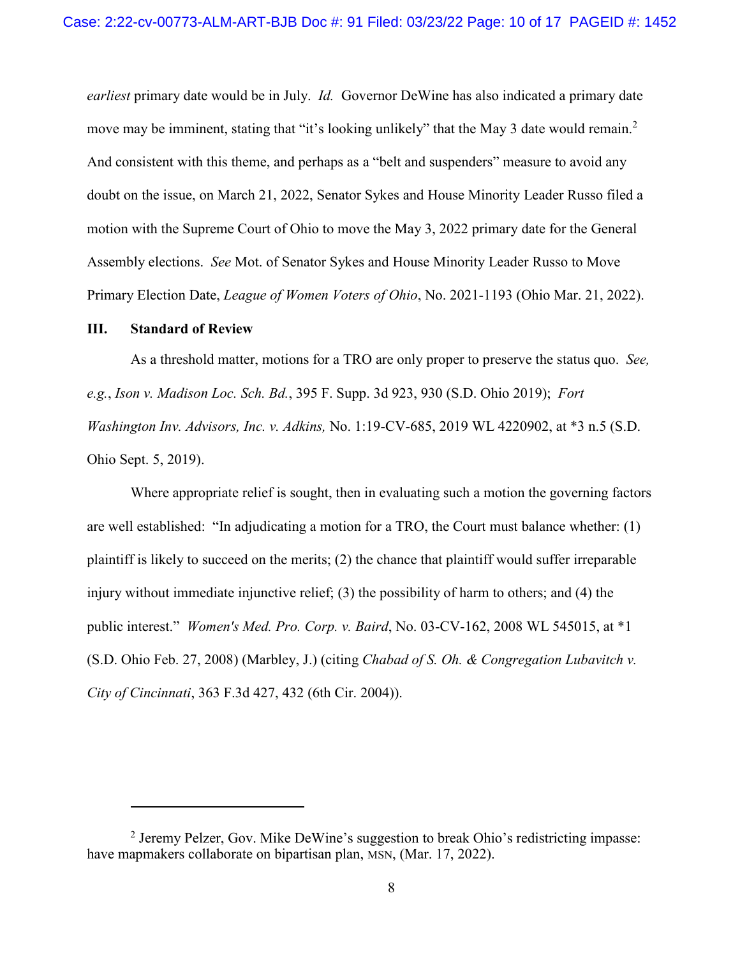*earliest* primary date would be in July. *Id.* Governor DeWine has also indicated a primary date move may be imminent, stating that "it's looking unlikely" that the May 3 date would remain[.](#page-9-1)<sup>2</sup> And consistent with this theme, and perhaps as a "belt and suspenders" measure to avoid any doubt on the issue, on March 21, 2022, Senator Sykes and House Minority Leader Russo filed a motion with the Supreme Court of Ohio to move the May 3, 2022 primary date for the General Assembly elections. *See* Mot. of Senator Sykes and House Minority Leader Russo to Move Primary Election Date, *League of Women Voters of Ohio*, No. 2021-1193 (Ohio Mar. 21, 2022).

#### <span id="page-9-0"></span>**III. Standard of Review**

 $\overline{a}$ 

As a threshold matter, motions for a TRO are only proper to preserve the status quo. *See, e.g.*, *Ison v. Madison Loc. Sch. Bd.*, 395 F. Supp. 3d 923, 930 (S.D. Ohio 2019); *Fort Washington Inv. Advisors, Inc. v. Adkins,* No. 1:19-CV-685, 2019 WL 4220902, at \*3 n.5 (S.D. Ohio Sept. 5, 2019).

Where appropriate relief is sought, then in evaluating such a motion the governing factors are well established: "In adjudicating a motion for a TRO, the Court must balance whether: (1) plaintiff is likely to succeed on the merits; (2) the chance that plaintiff would suffer irreparable injury without immediate injunctive relief; (3) the possibility of harm to others; and (4) the public interest." *Women's Med. Pro. Corp. v. Baird*, No. 03-CV-162, 2008 WL 545015, at \*1 (S.D. Ohio Feb. 27, 2008) (Marbley, J.) (citing *Chabad of S. Oh. & Congregation Lubavitch v. City of Cincinnati*, 363 F.3d 427, 432 (6th Cir. 2004)).

<span id="page-9-1"></span><sup>&</sup>lt;sup>2</sup> Jeremy Pelzer, Gov. Mike DeWine's suggestion to break Ohio's redistricting impasse: have mapmakers collaborate on bipartisan plan, MSN, (Mar. 17, 2022).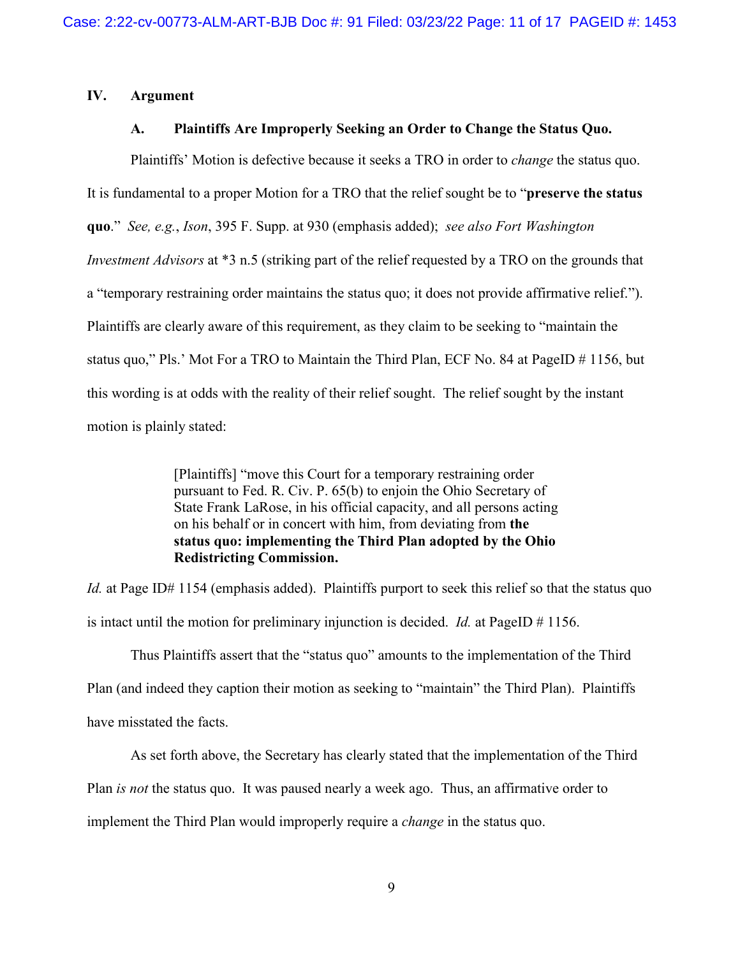## <span id="page-10-1"></span><span id="page-10-0"></span>**IV. Argument**

### **A. Plaintiffs Are Improperly Seeking an Order to Change the Status Quo.**

Plaintiffs' Motion is defective because it seeks a TRO in order to *change* the status quo. It is fundamental to a proper Motion for a TRO that the relief sought be to "**preserve the status quo**." *See, e.g.*, *Ison*, 395 F. Supp. at 930 (emphasis added); *see also Fort Washington Investment Advisors* at \*3 n.5 (striking part of the relief requested by a TRO on the grounds that a "temporary restraining order maintains the status quo; it does not provide affirmative relief."). Plaintiffs are clearly aware of this requirement, as they claim to be seeking to "maintain the status quo," Pls.' Mot For a TRO to Maintain the Third Plan, ECF No. 84 at PageID # 1156, but this wording is at odds with the reality of their relief sought. The relief sought by the instant motion is plainly stated:

> [Plaintiffs] "move this Court for a temporary restraining order pursuant to Fed. R. Civ. P. 65(b) to enjoin the Ohio Secretary of State Frank LaRose, in his official capacity, and all persons acting on his behalf or in concert with him, from deviating from **the status quo: implementing the Third Plan adopted by the Ohio Redistricting Commission.**

*Id.* at Page ID# 1154 (emphasis added). Plaintiffs purport to seek this relief so that the status quo is intact until the motion for preliminary injunction is decided. *Id.* at PageID # 1156.

Thus Plaintiffs assert that the "status quo" amounts to the implementation of the Third Plan (and indeed they caption their motion as seeking to "maintain" the Third Plan). Plaintiffs have misstated the facts.

As set forth above, the Secretary has clearly stated that the implementation of the Third Plan *is not* the status quo. It was paused nearly a week ago. Thus, an affirmative order to

implement the Third Plan would improperly require a *change* in the status quo.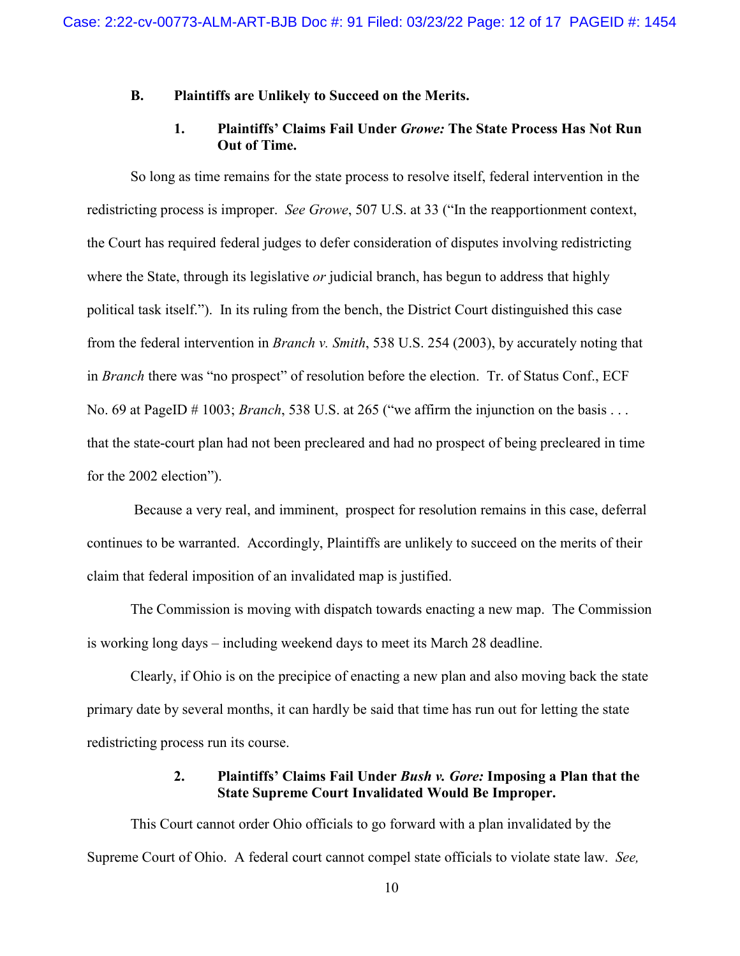## <span id="page-11-0"></span>**B. Plaintiffs are Unlikely to Succeed on the Merits.**

### **1. Plaintiffs' Claims Fail Under** *Growe:* **The State Process Has Not Run Out of Time.**

<span id="page-11-1"></span>So long as time remains for the state process to resolve itself, federal intervention in the redistricting process is improper. *See Growe*, 507 U.S. at 33 ("In the reapportionment context, the Court has required federal judges to defer consideration of disputes involving redistricting where the State, through its legislative *or* judicial branch, has begun to address that highly political task itself."). In its ruling from the bench, the District Court distinguished this case from the federal intervention in *Branch v. Smith*, 538 U.S. 254 (2003), by accurately noting that in *Branch* there was "no prospect" of resolution before the election. Tr. of Status Conf., ECF No. 69 at PageID # 1003; *Branch*, 538 U.S. at 265 ("we affirm the injunction on the basis . . . that the state-court plan had not been precleared and had no prospect of being precleared in time for the 2002 election").

 Because a very real, and imminent, prospect for resolution remains in this case, deferral continues to be warranted. Accordingly, Plaintiffs are unlikely to succeed on the merits of their claim that federal imposition of an invalidated map is justified.

The Commission is moving with dispatch towards enacting a new map. The Commission is working long days – including weekend days to meet its March 28 deadline.

Clearly, if Ohio is on the precipice of enacting a new plan and also moving back the state primary date by several months, it can hardly be said that time has run out for letting the state redistricting process run its course.

## **2. Plaintiffs' Claims Fail Under** *Bush v. Gore:* **Imposing a Plan that the State Supreme Court Invalidated Would Be Improper.**

<span id="page-11-2"></span>This Court cannot order Ohio officials to go forward with a plan invalidated by the Supreme Court of Ohio. A federal court cannot compel state officials to violate state law. *See,*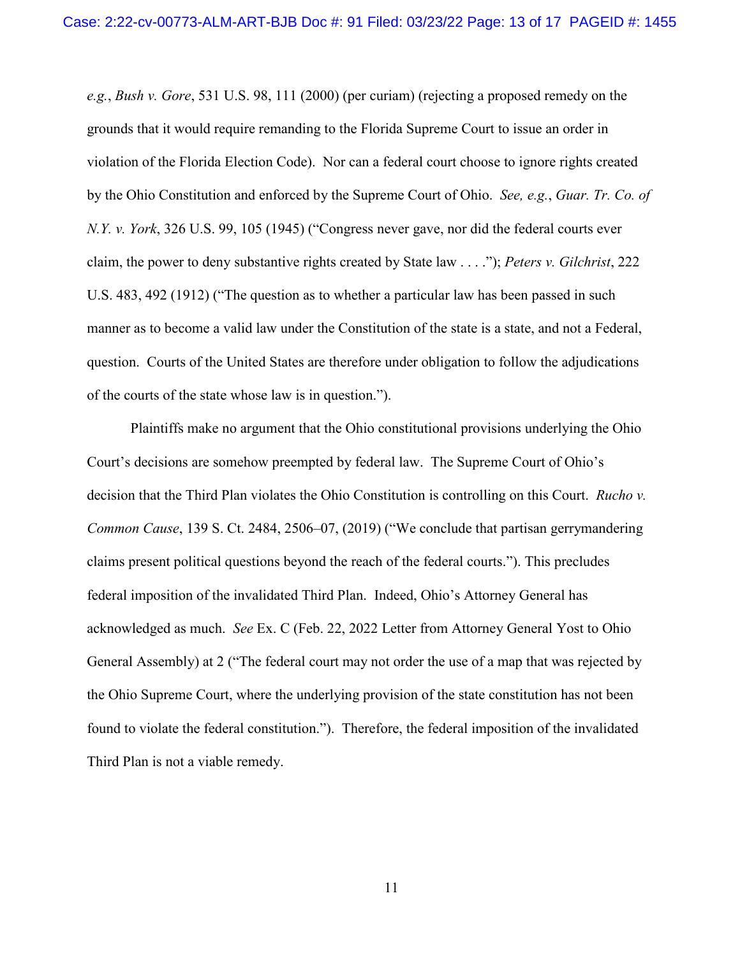*e.g.*, *Bush v. Gore*, 531 U.S. 98, 111 (2000) (per curiam) (rejecting a proposed remedy on the grounds that it would require remanding to the Florida Supreme Court to issue an order in violation of the Florida Election Code). Nor can a federal court choose to ignore rights created by the Ohio Constitution and enforced by the Supreme Court of Ohio. *See, e.g.*, *Guar. Tr. Co. of N.Y. v. York*, 326 U.S. 99, 105 (1945) ("Congress never gave, nor did the federal courts ever claim, the power to deny substantive rights created by State law . . . ."); *Peters v. Gilchrist*, 222 U.S. 483, 492 (1912) ("The question as to whether a particular law has been passed in such manner as to become a valid law under the Constitution of the state is a state, and not a Federal, question. Courts of the United States are therefore under obligation to follow the adjudications of the courts of the state whose law is in question.").

Plaintiffs make no argument that the Ohio constitutional provisions underlying the Ohio Court's decisions are somehow preempted by federal law. The Supreme Court of Ohio's decision that the Third Plan violates the Ohio Constitution is controlling on this Court. *Rucho v. Common Cause*, 139 S. Ct. 2484, 2506–07, (2019) ("We conclude that partisan gerrymandering claims present political questions beyond the reach of the federal courts."). This precludes federal imposition of the invalidated Third Plan. Indeed, Ohio's Attorney General has acknowledged as much. *See* Ex. C (Feb. 22, 2022 Letter from Attorney General Yost to Ohio General Assembly) at 2 ("The federal court may not order the use of a map that was rejected by the Ohio Supreme Court, where the underlying provision of the state constitution has not been found to violate the federal constitution."). Therefore, the federal imposition of the invalidated Third Plan is not a viable remedy.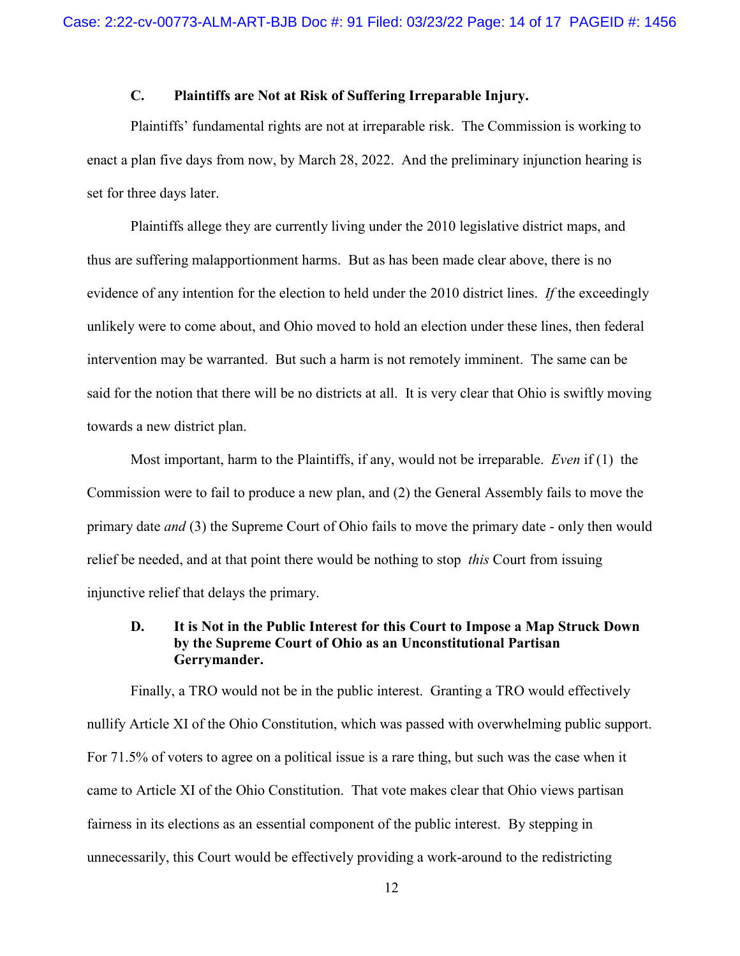## **C. Plaintiffs are Not at Risk of Suffering Irreparable Injury.**

<span id="page-13-0"></span>Plaintiffs' fundamental rights are not at irreparable risk. The Commission is working to enact a plan five days from now, by March 28, 2022. And the preliminary injunction hearing is set for three days later.

Plaintiffs allege they are currently living under the 2010 legislative district maps, and thus are suffering malapportionment harms. But as has been made clear above, there is no evidence of any intention for the election to held under the 2010 district lines. *If* the exceedingly unlikely were to come about, and Ohio moved to hold an election under these lines, then federal intervention may be warranted. But such a harm is not remotely imminent. The same can be said for the notion that there will be no districts at all. It is very clear that Ohio is swiftly moving towards a new district plan.

Most important, harm to the Plaintiffs, if any, would not be irreparable. *Even* if (1) the Commission were to fail to produce a new plan, and (2) the General Assembly fails to move the primary date *and* (3) the Supreme Court of Ohio fails to move the primary date - only then would relief be needed, and at that point there would be nothing to stop *this* Court from issuing injunctive relief that delays the primary.

## <span id="page-13-1"></span>**D. It is Not in the Public Interest for this Court to Impose a Map Struck Down by the Supreme Court of Ohio as an Unconstitutional Partisan Gerrymander.**

Finally, a TRO would not be in the public interest. Granting a TRO would effectively nullify Article XI of the Ohio Constitution, which was passed with overwhelming public support. For 71.5% of voters to agree on a political issue is a rare thing, but such was the case when it came to Article XI of the Ohio Constitution. That vote makes clear that Ohio views partisan fairness in its elections as an essential component of the public interest. By stepping in unnecessarily, this Court would be effectively providing a work-around to the redistricting

12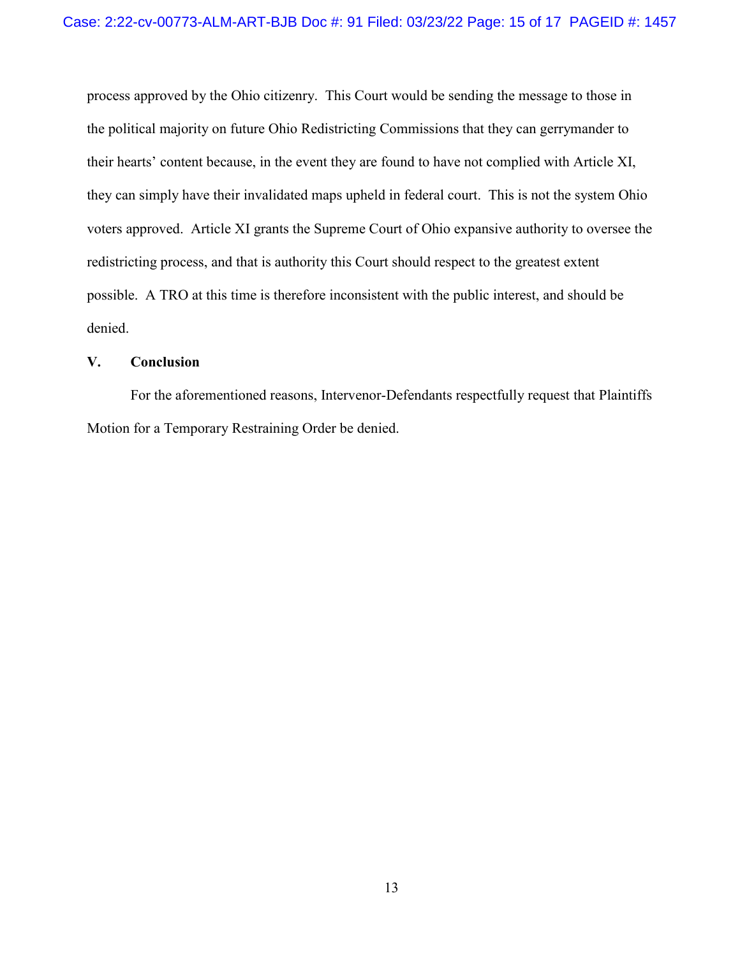process approved by the Ohio citizenry. This Court would be sending the message to those in the political majority on future Ohio Redistricting Commissions that they can gerrymander to their hearts' content because, in the event they are found to have not complied with Article XI, they can simply have their invalidated maps upheld in federal court. This is not the system Ohio voters approved. Article XI grants the Supreme Court of Ohio expansive authority to oversee the redistricting process, and that is authority this Court should respect to the greatest extent possible. A TRO at this time is therefore inconsistent with the public interest, and should be denied.

## <span id="page-14-0"></span>**V. Conclusion**

For the aforementioned reasons, Intervenor-Defendants respectfully request that Plaintiffs Motion for a Temporary Restraining Order be denied.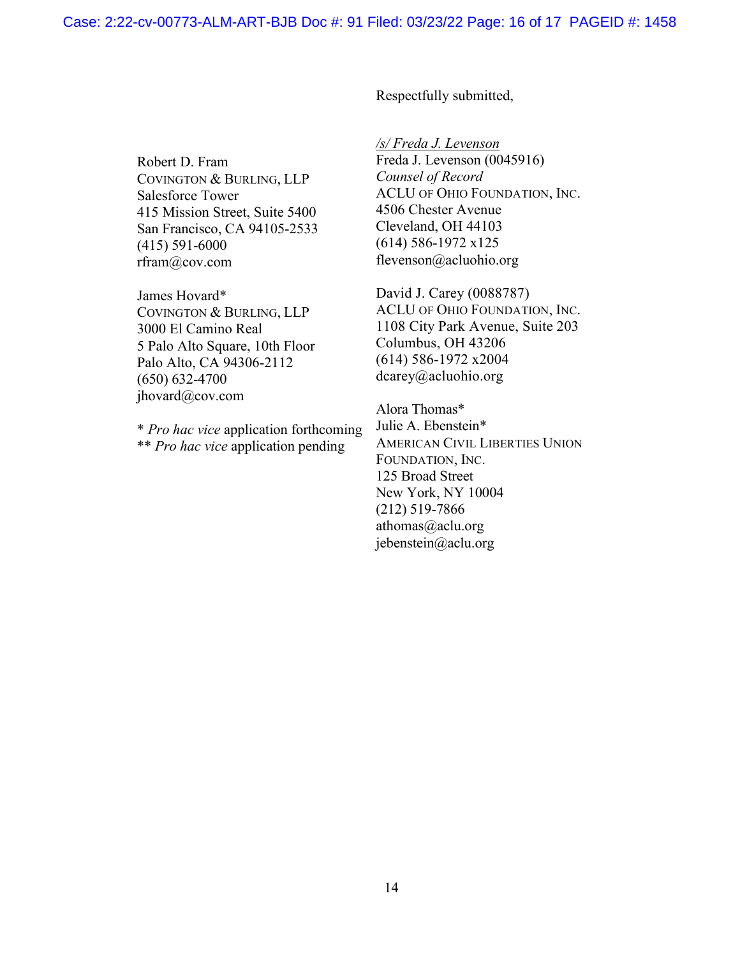Robert D. Fram COVINGTON & BURLING, LLP Salesforce Tower 415 Mission Street, Suite 5400 San Francisco, CA 94105-2533 (415) 591-6000 rfram@cov.com

James Hovard\* COVINGTON & BURLING, LLP 3000 El Camino Real 5 Palo Alto Square, 10th Floor Palo Alto, CA 94306-2112 (650) 632-4700 jhovard@cov.com

\* *Pro hac vice* application forthcoming \*\* *Pro hac vice* application pending

Respectfully submitted,

*/s/ Freda J. Levenson*  Freda J. Levenson (0045916) *Counsel of Record*  ACLU OF OHIO FOUNDATION, INC. 4506 Chester Avenue Cleveland, OH 44103 (614) 586-1972 x125 flevenson@acluohio.org

David J. Carey (0088787) ACLU OF OHIO FOUNDATION, INC. 1108 City Park Avenue, Suite 203 Columbus, OH 43206 (614) 586-1972 x2004 dcarey@acluohio.org

Alora Thomas\* Julie A. Ebenstein\* AMERICAN CIVIL LIBERTIES UNION FOUNDATION, INC. 125 Broad Street New York, NY 10004 (212) 519-7866 athomas@aclu.org jebenstein@aclu.org